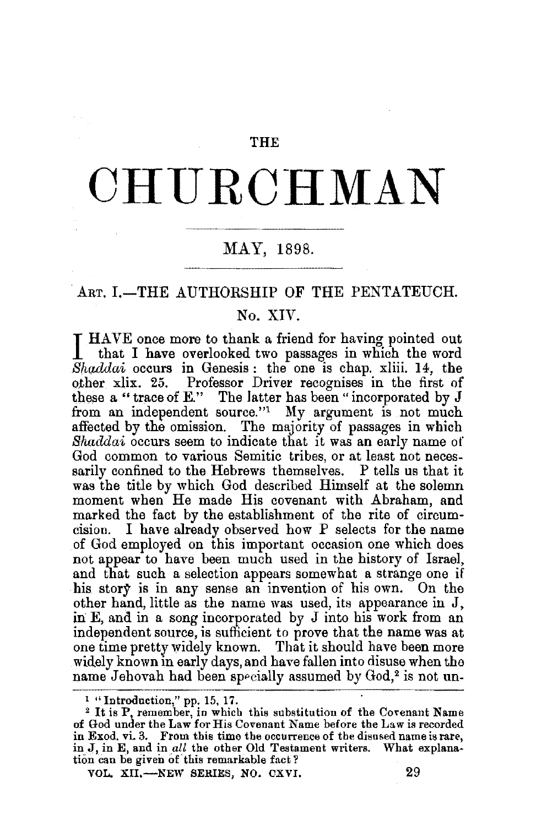#### THE

# **CHURCHMAN**

## ~-~--------- MAY, 1898.

## ART. I.-THE AUTHORSHIP OF THE PENTATEUCH.

### No. XIV.

I HAVE once more to thank a friend for having pointed out that I have overlooked two passages in which the word *Shacldai* occurs in Genesis : the one is chap. xliii. 14, the other xlix. 25. Professor Driver recognises in the first of these a "trace of E." The latter has been "incorporated by J from an independent source."<sup>1</sup> My argument is not much affected by the omission. The majority of passages in which *Shaddai* occurs seem to indicate that it was an early name of God common to various Semitic tribes, or at least not necessarily confined to the Hebrews themselves. P tells us that it was the title by which God described Himself at the solemn moment when He made His covenant with Abraham, and marked the fact by the establishment of the rite of circumcision. I have already observed how P selects for the name of God employed on this important occasion one which does not appear to have been much used in the history of Israel, and that such a selection appears somewhat a strange one if his story is in any sense an invention of his own. On the other hand, little as the name was used, its appearance in J, in  $E$ , and in a song incorporated by  $J$  into his work from an independent source, is sufficient to prove that the name was at one time pretty widely known. That it should have been more widely known in early days, and have fallen into disuse when the name Jehovah had been specially assumed by God,<sup>2</sup> is not un-

<sup>&</sup>lt;sup>1</sup> "Introduction," pp. 15, 17.<br><sup>2</sup> It is P, remember, in which this substitution of the Covenant Name of God under the Law for His Covenant Name before the Law is recorded in Exod. vi. 3. From this time the occurrence of the disused name is rare, in J, in E, and in all the other Old Testament writers. What explanation can be given of this remarkable fact?

VOL. XII,—NEW SERIES, NO. CXVI, 29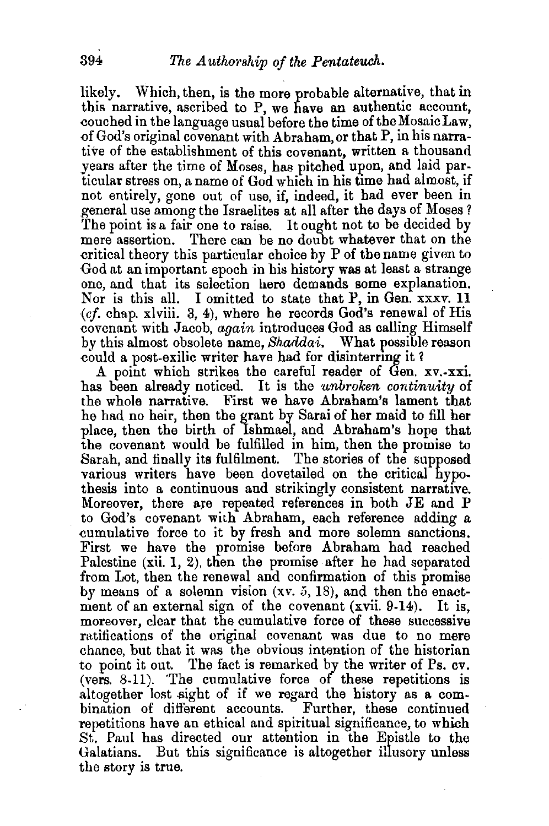likely. Which, then, is the more probable alternative, that in this narrative, ascribed to P, we have an authentic account, couched in the language usual before the time of the Mosaic Law, of God's original covenant with Abraham, or that P, in his narrative of the establishment of this covenant, written a thousand years after the time of Moses, has pitched upon, and laid particular stress on, a name of God which in his time had almost, if not entirely, gone out of use, if, indeed, it had ever been in general use among the Israelites at all after the days of Moses ? The point is a fair one to raise. It ought not to be decided by mere assertion. There can be no doubt whatever that on the There can be no doubt whatever that on the critical theory this particular choice by P of the name given to God at an important epoch in his history was at least a strange one, and that its selection here demands some explanation. Nor is this all. I omitted to state that P, in Gen. xxxv. 11 *(cf.* chap. xlviii. 3, 4), where he records God's renewal of His ~ovenant with Jacob, *again* introduces God as calling Himself by this almost obsolete name, *Shaddai.* What possible reason could a post-exilic writer have had for disinterring it?

A point which strikes the careful reader of Gen. xv.-xxi. has been already noticed. It is the *unbroken continuity* of the whole narrative. First we have Abraham's lament that he had no heir, then the grant by Sarai of her maid to fill her place, then the birth of Ishmael, and Abraham's hope that the covenant would be fulfilled in him, then the promise to Sarah, and finally its fulfilment. The stories of the supposed various writers have been dovetailed on the critical hypothesis into a continuous and strikingly consistent narrative.<br>Moreover, there are repeated references in both JE and P to God's covenant with Abraham, each reference adding a cumulative force to it by fresh and more solemn sanctions. First we have the promise before Abraham had reached Palestine (xii. 1, 2), then the promise after he had separated from Lot, then the renewal and confirmation of this promise by means of a solemn vision  $(xv, 5, 18)$ , and then the enact-<br>ment of an external sign of the covenant  $(xvii, 9-14)$ . It is. ment of an external sign of the covenant  $(xvii. 9-14)$ . moreover, clear that the cumulative force of these successive ratifications of the original covenant was due to no mere chance, but that it was the obvious intention of the historian to point it out. The fact is remarked by the writer of Ps. cv. (vers. 8-11). 'The cumulative force of these repetitions is altogether lost sight of if we regard the history as a combination of different accounts. Further, these continued repetitions have an ethical and spiritual significance, to which St. Paul has directed our attention in the Epistle to the Galatians. But this significance is altogether illusory unless the story is true.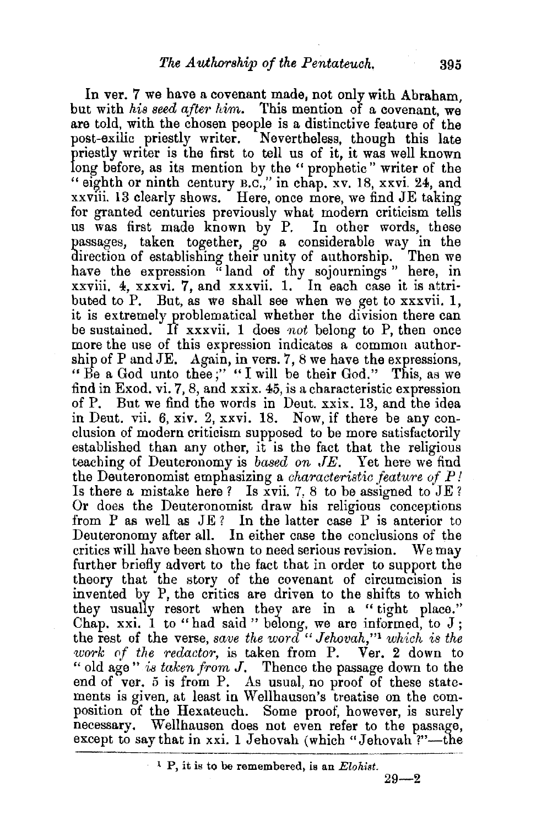In ver. 7 we have a covenant made, not only with Abraham, but with *his seed after him*. This mention of a covenant, we are told, with the chosen people is a distinctive feature of the post-exilic priestly writer. Nevertheless, though this late priestly writer is the first to tell us of it, it was well known long before, as its mention by the " prophetic " writer of the "eighth or ninth century B.c.," in chap. xv. 18, xxvi. 24, and xxviii. 13 clearly shows. Here, once more, we find JE taking for granted centuries previously what modern criticism tells us was first made known by P. In other words, these passages, taken together, go a considerable way in the direction of establishing their unity of authorship. Then we have the expression "land of thy sojournings " here, in xxviii. 4, xxxvi. 7, and xxxvii. 1. In each case it is attributed to P. But, as we shall see when we get to  $\overline{x}$  xxvii. 1, it is extremely problematical whether the division there can be sustained. If xxxvii. 1 does not belong to P, then once more the use of this expression indicates a common authorship of P and  $JE$ . Again, in vers. 7, 8 we have the expressions, "Be a God unto thee;" "I will be their God." This, as we find in Exod. vi. 7, 8, and xxix. 45, is a characteristic expression of P. But we find the words in Deut. xxix. 13, and the idea in Deut. vii. 6, xiv. 2, xxvi. 18. Now, if there be any conclusion of modern criticism supposed to be more satisfactorily established than any other, it is the fact that the religious teaching of Deuteronomy is *based on .TE.* Yet here we find the Deuteronomist emphasizing a *characteristic feature of P!*  Is there a mistake here? Is xvii. 7, 8 to be assigned to JE? Or does the Deuteronomist draw his religious conceptions from P as well as JE? In the latter case P is anterior to Deuteronomy after all. In either case the conclusions of the critics will have been shown to need serious revision. We may further briefly advert to the fact that in order to support the theory that the story of the covenant of circumcision is invented by P, the critics are driven to the shifts to which they usually resort when they are in a "tight place." Chap. xxi. 1 to "had said" belong, we are informed, to  $J$ ; the rest of the verse, *save the word "Jehovah,"*1 *which is the work of the redactor*, is taken from P. Ver. 2 down to '' old age" *is taken from* J. Thence the passage down to the end of ver. 5 is from P. As usual, no proof of these statements is given, at least in Wellhausen's treatise on the composition of the Hexateuch. Some proof, however, is surely necessary. Wellhausen does not even refer to the passage, except to say that in xxi. 1 Jehovah (which "Jehovah ?"-the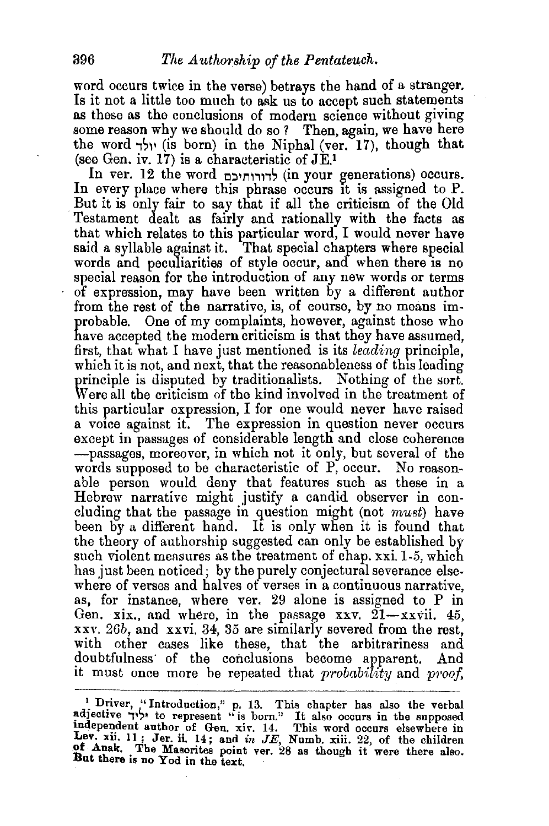word occurs twice in the verse) betrays the hand of a stranger. Is it not a little too much to ask us to accept such statements as these as the conclusions of modern science without giving some reason why we should do so? Then, again, we have here the word  $\gamma$ יולד (is born) in the Niphal (ver. 17), though that (see Gen. iv. 17) is a characteristic of  $JE<sup>1</sup>$ .

In ver. 12 the word לדורותיכם (in your generations) occurs. In every place where this phrase occurs It is assigned to P. But it is only fair to say that if all the criticism of the Old Testament dealt as fairly and rationally with the facts as that which relates to this particular word, I would never have said a syllable against it. That special chapters where special words and peculiarities of style occur, and when there is no special reason for the introduction of any new words or terms of expression, may have been written by a different author from the rest of the narrative, is, of course, by no means improbable. One of my complaints, however, against those who have accepted the modern criticism is that they have assumed. first, that what I have just mentioned is its *leading* principle, which it is not, and next, that the reasonableness of this leading principle is disputed by traditionalists. Nothing of the sort. Were all the criticism of the kind involved in the treatment of this particular expression, I for one would never have raised a voice against it. The expression in question never occurs except in passages of considerable length and close coherence -passages, moreover, in which not it only, but several of the words supposed to be characteristic of P, occur. No reasonable person would deny that features such as these in a Hebrew narrative might justify a candid observer in concluding that the passage in question might (not must) have been by a different hand. It is only when it is found that the theory of authorship suggested can only be established by such violent measures as the treatment of chap. xxi. 1-5, which has just been noticed; by the purely conjectural severance elsewhere of verses and halves of verses in a continuous narrative. as, for instance, where ver. 29 alone is assigned to P in Gen. xix., and where, in the passage xxv.  $21 - x$ xvii. 45, xxv. 26b, and xxvi. 34, 35 are similarly severed from the rest, with other cases like these, that the arbitrariness and doubtfulness· of the conclusions become apparent. And it must once more be repeated that *probability* and *proof*,

I Driver, "Introduction," p. 13. This chapter has also the verbal adjective  $\neg \lor \lor \lor$  to represent "is born." It also occurs in the supposed independent author of Gen, xiv. 14. This word occurs elsewhere in Lev. xii. 11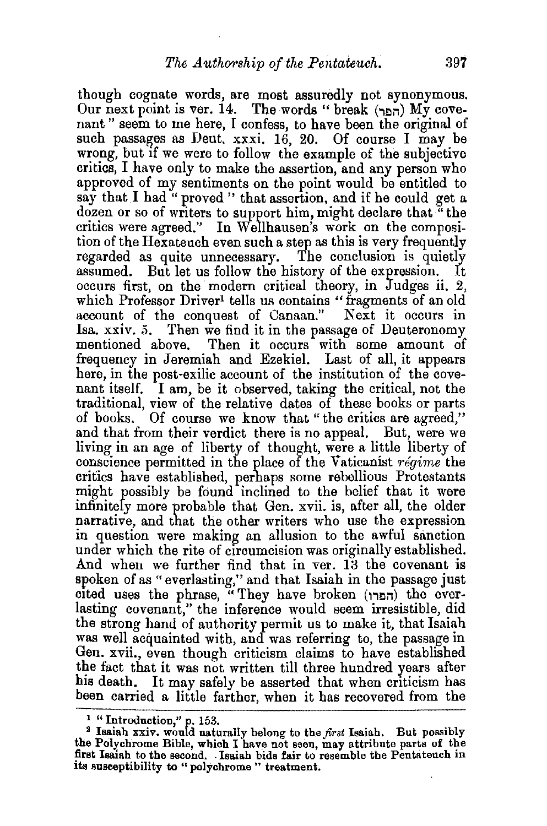though cognate words, are most assuredly not synonymous.  $O$ ur next point is ver. 14. The words " break  $(\eta_{\text{min}})$  My covenant " seem to me here, I confess, to have been the original of such passages as Deut. xxxi. 16, 20. Of course I may be wrong, but if we were to follow the example of the subjective critics, I have only to make the assertion, and any person who approved of my sentiments on the point would be entitled to say that I had " proved " that assertion, and if he could get a dozen or so of writers to support him, might declare that "the critics were agreed." In W ellhausen's work on the composition of the Hexateuch even such a step as this is very frequently regarded as quite unnecessary. The conclusion is quietly assumed. But let us follow the history of the expression. occurs first, on the modern critical theory, in Judges ii. 2, which Professor Driver<sup>1</sup> tells us contains "fragments of an old account of the conquest of Canaan." Next it occurs in Isa. xxiv. 5. Then we find it in the passage of Deuteronomy mentioned above. Then it occurs with some amount of frequency in Jeremiah and Ezekiel. Last of all, it appears here, in the post-exilic account of the institution of the covenant itself. I am, be it observed, taking the critical, not the traditional, view of the relative dates of these books or parts of books. Of course we know that " the critics are agreed," and that from their verdict there is no appeal. But, were we living in an age of liberty of thought, were a little liberty of conscience permitted in the place of the Vaticanist *regime* the critics have established, perhaps some rebellious Protestants might possibly be found inclined to the belief that it were infinitely more probable that Gen. xvii. is, after all, the older narrative, and that the other writers who use the expression in question were making an allusion to the awful sanction under which the rite of circumcision was originally established. And when we further find that in ver. 13 the covenant is spoken of as "everlasting," and that Isaiah in the passage just cited uses the phrase, "They have broken (הפרו) the everlasting covenant," the inference would seem irresistible, did the strong hand of authority permit us to make it, that Isaiah was well acquainted with, and was referring to, the passage in Gen. xvii., even though criticism claims to have established the fact that it was not written till three hundred years after his death. It may safely be asserted that when criticism has been carried a little farther, when it has recovered from the

<sup>1 &</sup>quot; Introduction," p. 153. 2 Isaiah xxiv. would naturally belong to the *first* Isaiah. But possibly the Polychrome Bible, which I have not seen, may attribute parts of the first Isaiah to the second. . Isaiah bids fair to resemble the Pentateuch in its susceptibility *to* "polychrome " treatment.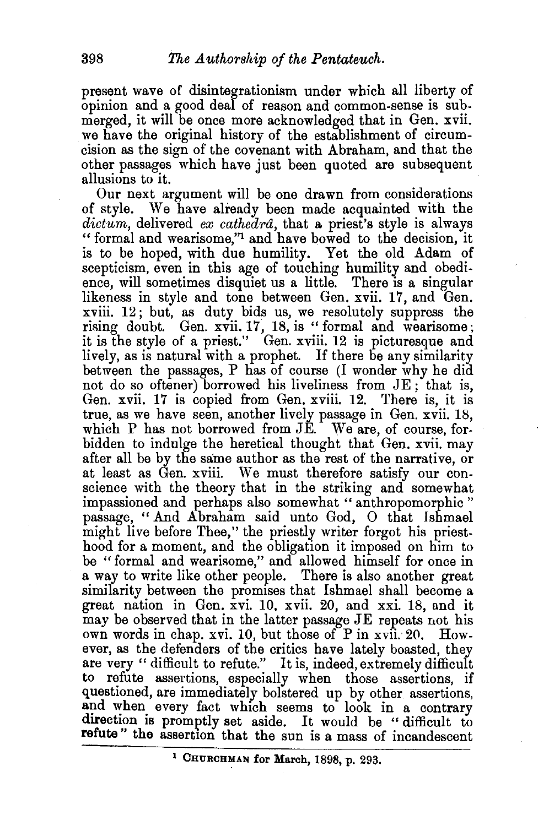present wave of disintegrationism under which all liberty of opinion and a good deaf of reason and common-sense is submerged, it will be once more acknowledged that in Gen. xvii. we have the original history of the establishment of circumcision as the sign of the covenant with Abraham, and that the other passages which have just been quoted are subsequent allusions to it.

Our next argument will be one drawn from considerations of style. We have already been made acquainted with the *dicttbm,* delivered *ex cathedra,* that a priest's style is always " formal and wearisome,''1 and have bowed to the decision, it is to be hoped, with due humility. Yet the old Adam of scepticism, even in this age of touching humility and obedience, will sometimes disquiet us a little. There is a singular likeness in style and tone between Gen. xvii. 17, and Gen. xviii. 12; but, as duty bids us, we resolutely suppress the rising doubt. Gen. xvii. 17, 18, is " formal and wearisome; it is the style of a priest." Gen. xviii. 12 is picturesque and lively, as is natural with a prophet. If there be any similarity between the passages, P has of course (I wonder why he did not do so oftener) borrowed his liveliness from JE; that is, Gen. xvii. 17 is copied from Gen. xviii. 12. There is, it is true, as we have seen, another lively passage in Gen. xvii. 18, which P has not borrowed from JE. We are, of course, forbidden to indulge the heretical thought that Gen. xvii. may after all be by the same author as the rest of the narrative, or at least as Gen. xviii. We must therefore satisfy our conscience with the theory that in the striking and somewhat impassioned and perhaps also somewhat " anthropomorphic " passage, "And Abraham said unto God, 0 that Ishmael might live before Thee," the priestly writer forgot his priesthood for a moment, and the obligation it imposed on him to be "formal and wearisome," and allowed himself for once in a way to write like other people. There is also another great similarity between the promises that Ishmael shall become a great nation in Gen. xvi. 10, xvii. 20, and xxi. 18, and it may be observed that in the latter passage JE repeats not his own words in chap. *xvi.* 10, but those of Pin xvii: 20. However, as the defenders of the critics have lately boasted, they are very "difficult to refute." It is, indeed, extremely difficult to refute assertions, especially when those assertions, if questioned, are immediately bolstered up by other assertions, and when every fact which seems to look in a contrary direction is promptly set aside. It would be "difficult to **refute"** the assertion that the sun is a mass of incandescent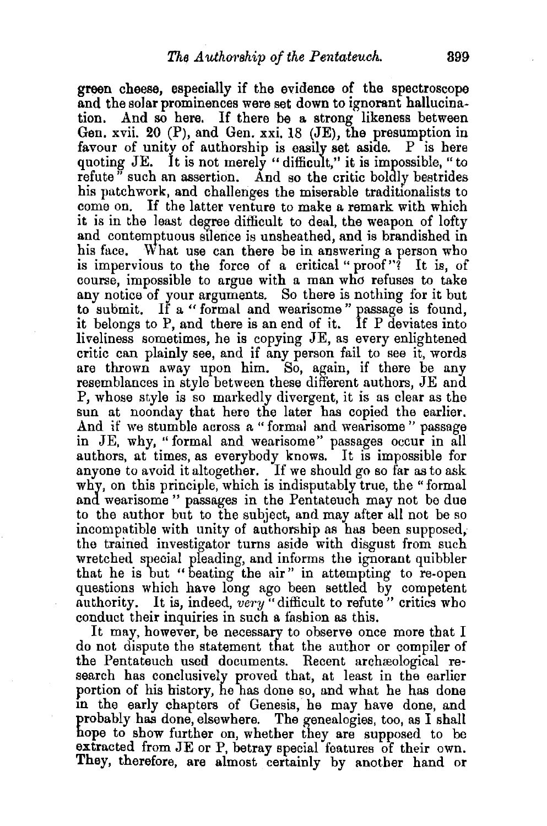green cheese, especially if the evidence of the spectroscope and the solar prominences were set down to ignorant hallucina-<br>tion. And so here. If there be a strong likeness between And so here. If there be a strong likeness between Gen. xvii. 20 (P), and Gen. xxi. 18 (JE), the presumption in favour of unity of authorship is easily set aside.  $P$  is here quoting JE. It is not merely "difficult," it is impossible, "to refute" such an assertion. And so the critic boldly bestrides his patchwork, and challenges the miserable traditionalists to come on. If the latter venture to make a remark with which it is in the least degree difficult to deal, the weapon of lofty and contemptuous stlence is unsheathed, and is brandished in his face. What use can there be in answering a person who is impervious to the force of a critical "  $\text{proof}$ "? It is, of course, impossible to argue with a man who refuses to take any notice of your arguments. So there is nothing for it but to submit. If a "formal and wearisome" passage is found, it belongs to P, and there is an end of it. If P deviates into liveliness sometimes, he is copying JE, as every enlightened critic can plainly see, and if any person fail to see it, words are thrown away upon him. So, again, if there be any resemblances in style between these different authors, JE and P, whose style is so markedly divergent, it is as clear as the sun at noonday that here the later has copied the earlier. And if we stumble across a " formal and wearisome " passage in JE, why, "formal and wearisome" passages occur in all authors, at times, as everybody knows. It is impossible for anyone to avoid it altogether. If we should go so far as to ask why, on this principle, which is indisputably true, the "formal and wearisome " passages in the Pentateuch may not be due to the author but to the subject, and may after all not be so incompatible with unity of authorship as has been supposed, the trained investigator turns aside with disgust from such wretched special pleading, and informs the ignorant quibbler that he is but "beating the air" in attempting to re-open questions which have long ago been settled by competent authority. It is, indeed, *very* "difficult to refute" critics who conduct their inquiries in such a fashion as this.

It may, however, be necessary to observe once more that I do not dispute the statement that the author or compiler of the Pentateuch used documents. Recent archreological research has conclusively proved that, at least in the earlier portion of his history, he has done so, and what he has done in the early chapters of Genesis, he may have done, and probably has done, elsewhere. The genealogies, too, as I shall hope to show further on, whether they are supposed to be extracted from JE or P, betray special features of their own. They, therefore, are almost certainly by another hand or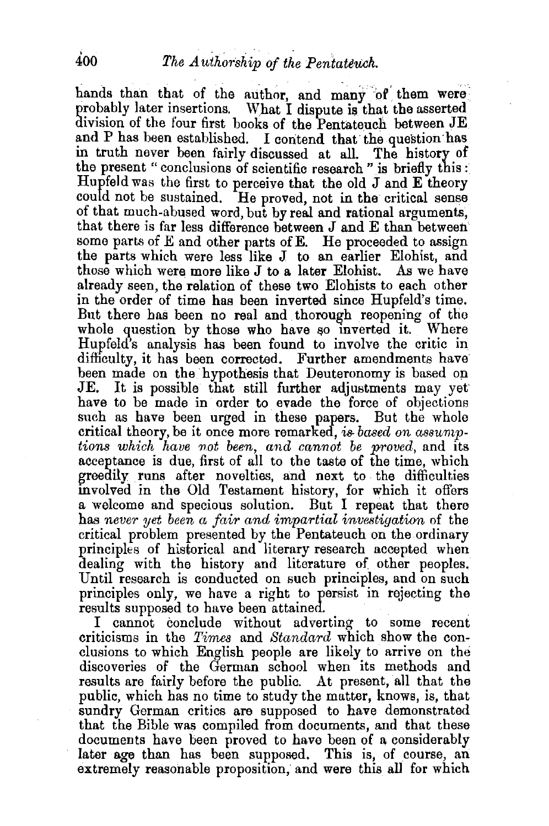hands than that of the author, and many of them were probably later insertions. What I dispute is that the asserted division of the four first books of the Pentateuch between JE and P has been established. I contend that the question has in truth never been fairly discussed at all. The history of the present " conclusions of scientific research " is briefly this : Hupfeld was the first to perceive that the old  $J$  and  $E$  theory could not be sustained. He proved, not in the critical sense of that much-abused word, but by real and rational arguments, that there is far less difference between J and E than between some parts of  $E$  and other parts of  $E$ . He proceeded to assign the parts which were less like J to an earlier Elohist, and those which were more like J to a later Elohist. As we have already seen, the relation of these two Elohists to each other in the order of time has been inverted since Hupfeld's time. But there has been no real and thorough reopening of the whole question by those who have so inverted it. Where Hupfeld's analysis has been found to involve the critic in difficulty, it has been corrected. Further amendments have been made on the hypothesis that Deuteronomy is based on JE. It is possible that still further adjustments may yet have to be made in order to evade the force of objections such as have been urged in these papers. But the whole critical theory, be it once more remarked, *is. based on asswntptions which have not been, and cannot be proved,* and its acceptance is due, first of all to the taste of the time, which greedily runs after novelties, and next to the difficulties involved in the Old Testament history, for which it offers a welcome and specious solution. But I repeat that there has *never yet been a fair and impartial investigation* of the critical problem presented by the Pentateuch on the ordinary principles of historical and literary research accepted when dealing with the history and literature of other peoples. Until research is conducted on such principles, and on such principles ouly, we have a right to persist in rejecting the

I cannot conclude without adverting to some recent criticisms in the *Times* and *Standard* which show the conclusions to which English people are likely to arrive on the discoveries of the German school when its methods and results are fairly before the public. At present, all that the public, which has no time to study the matter, knows, is, that sundry German critics are supposed to have demonstrated that the Bible was compiled from documents, and that these documents have been proved to have been of a considerably later age than has been supposed. This is, of course, an extremely reasonable proposition, and were this all for which